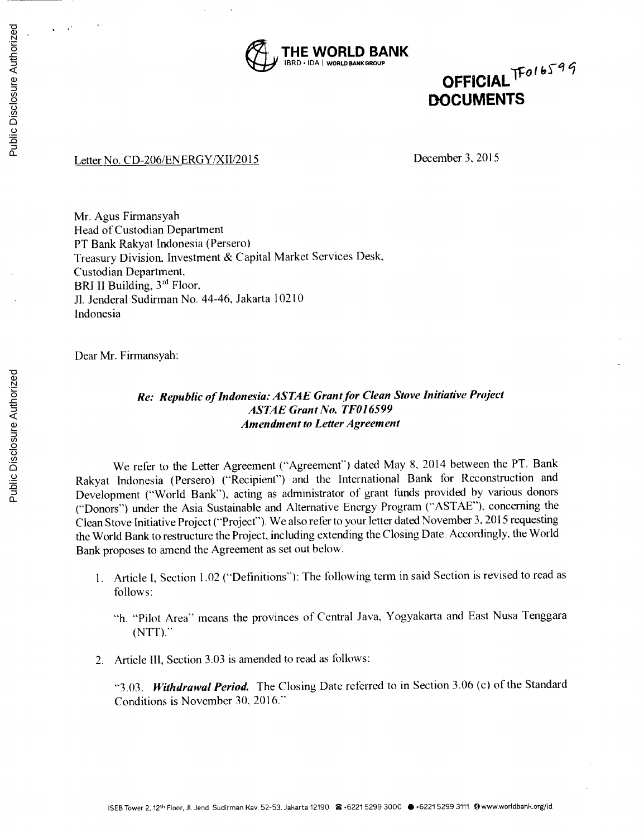

**DOFFICIAL** TFolbs<sup>199</sup>

## Letter No. **CD-206/ENERGY/XII/2015** December **3, 2015**

Mr. Agus Firmansyah Head of Custodian Department PT Bank Rakyat Indonesia (Persero) Treasury Division, Investment **&** Capital Market Services Desk, Custodian Department, BRI II Building, **3rd** Floor, **JI.** Jenderal Sudirman No. 44-46, Jakarta 10210 Indonesia

Dear Mr. Firmansyah:

## *Re: Republic of Indonesia: ASTAE Grant for Clean Stove Initiative Project ASTAE Grant No. TF016599 Amendment to Letter Agreement*

We refer to the Letter Agreement ("Agreement") dated May **8,** 2014 between the PT. Bank Rakyat Indonesia (Persero) ("Recipient") and the International Bank for Reconstruction and Development ("World Bank"), acting as administrator of grant funds provided **by** various donors ("Donors") under the Asia Sustainable and Alternative Energy Program **("ASTAE").** concerning the Clean Stove Initiative Project ("Project"). We also refer to your letter dated November **3, 2015** requesting the World Bank to restructure the Project, including extending the Closing Date. Accordingly, the World Bank proposes to amend the Agreement as set out below.

- **1.** Article **I,** Section 1.02 ("Definitions"): The following term in said Section is revised to read as **follows:**
	- "h. "Pilot Area" means the provinces of Central Java, Yogyakarta and East Nusa Tenggara **(NTT)."**
- 2. Article III, Section **3.03** is amended to read as follows:

*"3.03. Withdrawal Period.* The Closing Date referred to in Section **3.06** (c) of the Standard Conditions is November **30, 2016."**

Public Disclosure Authorized